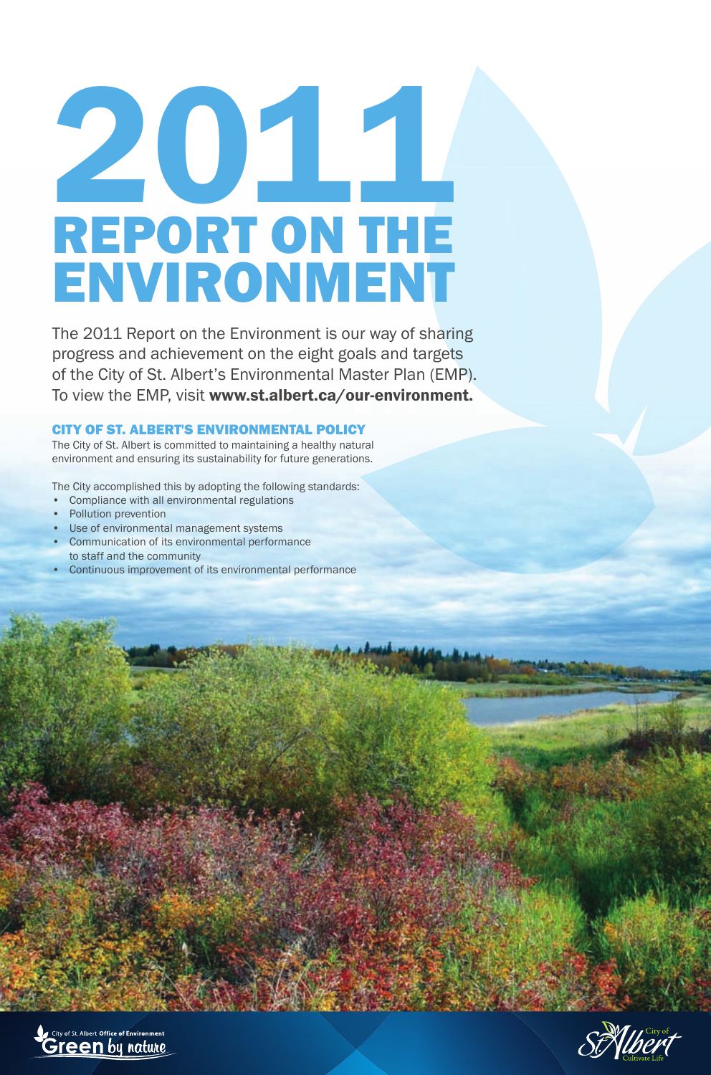# 2011 REPORT ON THE ENVIRONMENT

The 2011 Report on the Environment is our way of sharing progress and achievement on the eight goals and targets of the City of St. Albert's Environmental Master Plan (EMP). To view the EMP, visit www.st.albert.ca/our-environment.

#### CITY OF ST. ALBERT'S ENVIRONMENTAL POLICY

The City of St. Albert is committed to maintaining a healthy natural environment and ensuring its sustainability for future generations.

The City accomplished this by adopting the following standards:

- Compliance with all environmental regulations
- Pollution prevention
- Use of environmental management systems
- Communication of its environmental performance to staff and the community
- Continuous improvement of its environmental performance



St. Wheret

**Charling Street**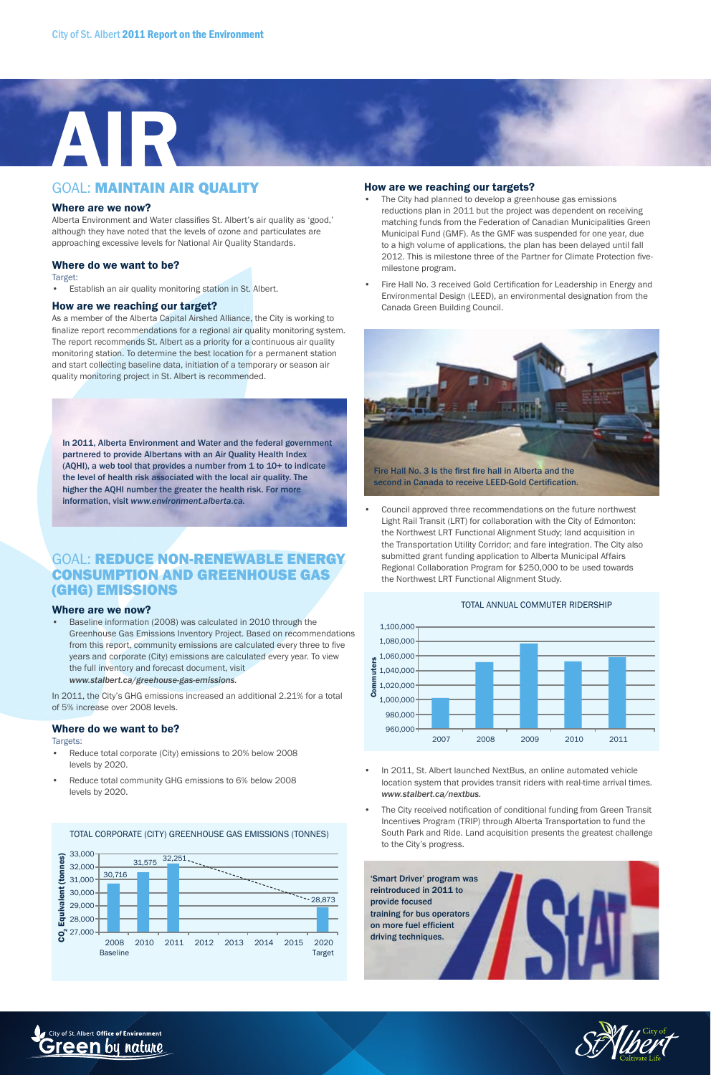

#### GOAL: MAINTAIN AIR QUALITY

#### Where are we now?

Alberta Environment and Water classifies St. Albert's air quality as 'good,' although they have noted that the levels of ozone and particulates are approaching excessive levels for National Air Quality Standards.

#### Where do we want to be?

Target:

Establish an air quality monitoring station in St. Albert.

#### How are we reaching our target?

As a member of the Alberta Capital Airshed Alliance, the City is working to finalize report recommendations for a regional air quality monitoring system. The report recommends St. Albert as a priority for a continuous air quality monitoring station. To determine the best location for a permanent station and start collecting baseline data, initiation of a temporary or season air quality monitoring project in St. Albert is recommended.

In 2011, Alberta Environment and Water and the federal government partnered to provide Albertans with an Air Quality Health Index (AQHI), a web tool that provides a number from 1 to 10+ to indicate the level of health risk associated with the local air quality. The higher the AQHI number the greater the health risk. For more information, visit *www.environment.alberta.ca.*

#### GOAL: REDUCE NON-RENEWABLE ENERGY CONSUMPTION AND GREENHOUSE GAS (GHG) EMISSIONS

#### Where are we now?

• Baseline information (2008) was calculated in 2010 through the Greenhouse Gas Emissions Inventory Project. Based on recommendations from this report, community emissions are calculated every three to five years and corporate (City) emissions are calculated every year. To view the full inventory and forecast document, visit *www.stalbert.ca/greehouse-gas-emissions.*

In 2011, the City's GHG emissions increased an additional 2.21% for a total of 5% increase over 2008 levels.

#### Where do we want to be?

#### Targets:

- Reduce total corporate (City) emissions to 20% below 2008 levels by 2020.
- Reduce total community GHG emissions to 6% below 2008 levels by 2020.

#### 31,575 32,251 33,000 ඹ  $\mathsf{CO}_2$  Equivalent (tonnes) 32,000 (tonr  $\sim$ 30,716 <u>The Company of the Company of the Company of the Company of the Company of the Company of the Company of the Company of the Company of the Company of the Company of the Company of the Company of the Company of the Company</u> 31,000 Equivalent 30,000 28,873 29,000 28,000 27,000 ဥ္ပိ 2008 2010 2011 2012 2013 2014 2015 2020 Baseline Target

TOTAL CORPORATE (CITY) GREENHOUSE GAS EMISSIONS (TONNES)

#### How are we reaching our targets?

- The City had planned to develop a greenhouse gas emissions reductions plan in 2011 but the project was dependent on receiving matching funds from the Federation of Canadian Municipalities Green Municipal Fund (GMF). As the GMF was suspended for one year, due to a high volume of applications, the plan has been delayed until fall 2012. This is milestone three of the Partner for Climate Protection fivemilestone program.
- Fire Hall No. 3 received Gold Certification for Leadership in Energy and Environmental Design (LEED), an environmental designation from the Canada Green Building Council.



• Council approved three recommendations on the future northwest Light Rail Transit (LRT) for collaboration with the City of Edmonton: the Northwest LRT Functional Alignment Study; land acquisition in the Transportation Utility Corridor; and fare integration. The City also submitted grant funding application to Alberta Municipal Affairs Regional Collaboration Program for \$250,000 to be used towards the Northwest LRT Functional Alignment Study.





- In 2011, St. Albert launched NextBus, an online automated vehicle location system that provides transit riders with real-time arrival times. *www.stalbert.ca/nextbus.*
- The City received notification of conditional funding from Green Transit Incentives Program (TRIP) through Alberta Transportation to fund the South Park and Ride. Land acquisition presents the greatest challenge to the City's progress.





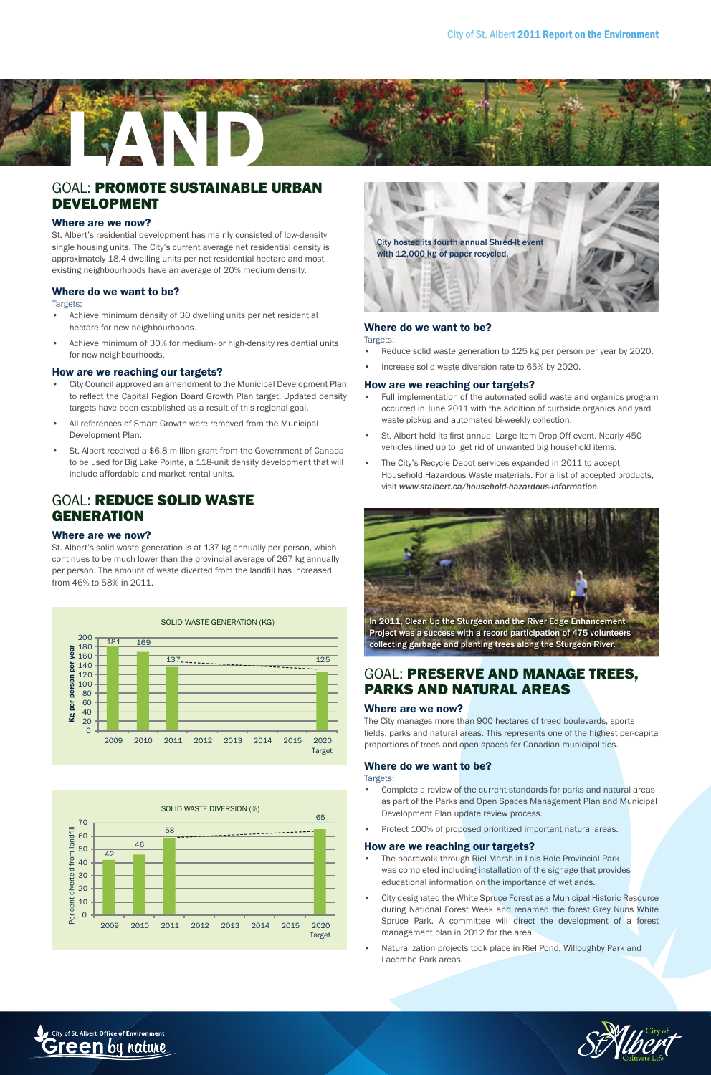

#### GOAL: PROMOTE SUSTAINABLE URBAN DEVELOPMENT

#### Where are we now?

St. Albert's residential development has mainly consisted of low-density single housing units. The City's current average net residential density is approximately 18.4 dwelling units per net residential hectare and most existing neighbourhoods have an average of 20% medium density.

#### Where do we want to be?

#### Targets:

- Achieve minimum density of 30 dwelling units per net residential hectare for new neighbourhoods.
- Achieve minimum of 30% for medium- or high-density residential units for new neighbourhoods.

#### How are we reaching our targets?

- City Council approved an amendment to the Municipal Development Plan to reflect the Capital Region Board Growth Plan target. Updated density targets have been established as a result of this regional goal.
- All references of Smart Growth were removed from the Municipal Development Plan.
- St. Albert received a \$6.8 million grant from the Government of Canada to be used for Big Lake Pointe, a 118-unit density development that will include affordable and market rental units.

#### GOAL: REDUCE SOLID WASTE **GENERATION**

#### Where are we now?

St. Albert's solid waste generation is at 137 kg annually per person, which continues to be much lower than the provincial average of 267 kg annually per person. The amount of waste diverted from the landfill has increased from 46% to 58% in 2011.







#### Where do we want to be?

#### Targets:

- Reduce solid waste generation to 125 kg per person per year by 2020.
- Increase solid waste diversion rate to 65% by 2020.

#### How are we reaching our targets?

- Full implementation of the automated solid waste and organics program occurred in June 2011 with the addition of curbside organics and yard waste pickup and automated bi-weekly collection.
- St. Albert held its first annual Large Item Drop Off event. Nearly 450 vehicles lined up to get rid of unwanted big household items.
- The City's Recycle Depot services expanded in 2011 to accept Household Hazardous Waste materials. For a list of accepted products, visit *www.stalbert.ca/household-hazardous-information.*



#### GOAL: PRESERVE AND MANAGE TREES, PARKS AND NATURAL AREAS

#### Where are we now?

The City manages more than 900 hectares of treed boulevards, sports fields, parks and natural areas. This represents one of the highest per-capita proportions of trees and open spaces for Canadian municipalities.

#### Where do we want to be?

#### Targets:

- Complete a review of the current standards for parks and natural areas as part of the Parks and Open Spaces Management Plan and Municipal Development Plan update review process.
- Protect 100% of proposed prioritized important natural areas.

#### How are we reaching our targets?

- The boardwalk through Riel Marsh in Lois Hole Provincial Park was completed including installation of the signage that provides educational information on the importance of wetlands.
- City designated the White Spruce Forest as a Municipal Historic Resource during National Forest Week and renamed the forest Grey Nuns White Spruce Park. A committee will direct the development of a forest management plan in 2012 for the area.
- Naturalization projects took place in Riel Pond, Willoughby Park and Lacombe Park areas.